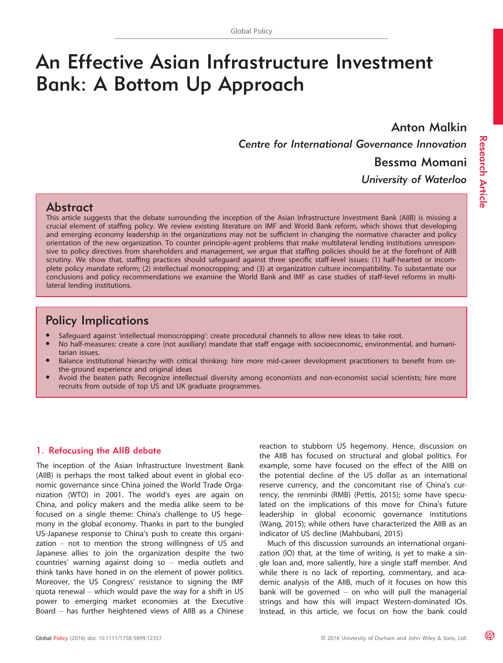# An Effective Asian Infrastructure Investment Bank: A Bottom Up Approach

Anton Malkin

Centre for International Governance Innovation Bessma Momani

University of Waterloo

## Abstract

This article suggests that the debate surrounding the inception of the Asian Infrastructure Investment Bank (AIIB) is missing a crucial element of staffing policy. We review existing literature on IMF and World Bank reform, which shows that developing and emerging economy leadership in the organizations may not be sufficient in changing the normative character and policy orientation of the new organization. To counter principle-agent problems that make multilateral lending institutions unresponsive to policy directives from shareholders and management, we argue that staffing policies should be at the forefront of AIIB scrutiny. We show that, staffing practices should safeguard against three specific staff-level issues: (1) half-hearted or incomplete policy mandate reform; (2) intellectual monocropping; and (3) at organization culture incompatibility. To substantiate our conclusions and policy recommendations we examine the World Bank and IMF as case studies of staff-level reforms in multilateral lending institutions.

# Policy Implications

- Safeguard against 'intellectual monocropping': create procedural channels to allow new ideas to take root.
- No half-measures: create a core (not auxiliary) mandate that staff engage with socioeconomic, environmental, and humanitarian issues.
- Balance institutional hierarchy with critical thinking: hire more mid-career development practitioners to benefit from onthe-ground experience and original ideas
- Avoid the beaten path: Recognize intellectual diversity among economists and non-economist social scientists; hire more recruits from outside of top US and UK graduate programmes.

#### 1. Refocusing the AIIB debate

The inception of the Asian Infrastructure Investment Bank (AIIB) is perhaps the most talked about event in global economic governance since China joined the World Trade Organization (WTO) in 2001. The world's eyes are again on China, and policy makers and the media alike seem to be focused on a single theme: China's challenge to US hegemony in the global economy. Thanks in part to the bungled US-Japanese response to China's push to create this organization – not to mention the strong willingness of US and Japanese allies to join the organization despite the two countries' warning against doing so – media outlets and think tanks have honed in on the element of power politics. Moreover, the US Congress' resistance to signing the IMF quota renewal – which would pave the way for a shift in US power to emerging market economies at the Executive Board – has further heightened views of AIIB as a Chinese reaction to stubborn US hegemony. Hence, discussion on the AIIB has focused on structural and global politics. For example, some have focused on the effect of the AIIB on the potential decline of the US dollar as an international reserve currency, and the concomitant rise of China's currency, the renminbi (RMB) (Pettis, 2015); some have speculated on the implications of this move for China's future leadership in global economic governance institutions (Wang, 2015); while others have characterized the AIIB as an indicator of US decline (Mahbubani, 2015)

Much of this discussion surrounds an international organization (IO) that, at the time of writing, is yet to make a single loan and, more saliently, hire a single staff member. And while there is no lack of reporting, commentary, and academic analysis of the AIIB, much of it focuses on how this bank will be governed – on who will pull the managerial strings and how this will impact Western-dominated IOs. Instead, in this article, we focus on how the bank could

മ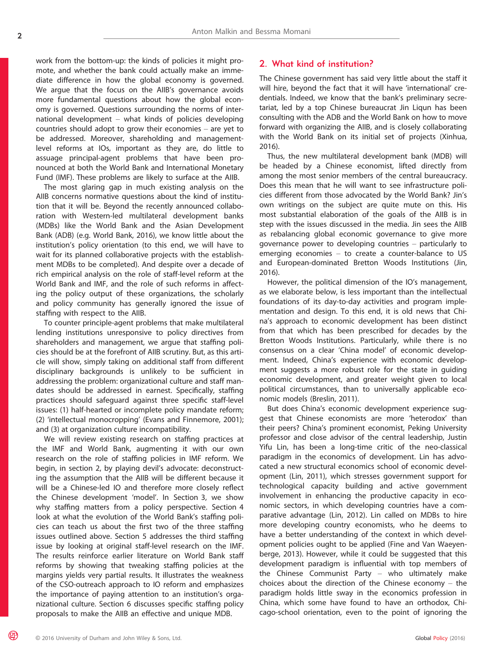work from the bottom-up: the kinds of policies it might promote, and whether the bank could actually make an immediate difference in how the global economy is governed. We argue that the focus on the AIIB's governance avoids more fundamental questions about how the global economy is governed. Questions surrounding the norms of international development – what kinds of policies developing countries should adopt to grow their economies – are yet to be addressed. Moreover, shareholding and managementlevel reforms at IOs, important as they are, do little to assuage principal-agent problems that have been pronounced at both the World Bank and International Monetary Fund (IMF). These problems are likely to surface at the AIIB.

The most glaring gap in much existing analysis on the AIIB concerns normative questions about the kind of institution that it will be. Beyond the recently announced collaboration with Western-led multilateral development banks (MDBs) like the World Bank and the Asian Development Bank (ADB) (e.g. World Bank, 2016), we know little about the institution's policy orientation (to this end, we will have to wait for its planned collaborative projects with the establishment MDBs to be completed). And despite over a decade of rich empirical analysis on the role of staff-level reform at the World Bank and IMF, and the role of such reforms in affecting the policy output of these organizations, the scholarly and policy community has generally ignored the issue of staffing with respect to the AIIB.

To counter principle-agent problems that make multilateral lending institutions unresponsive to policy directives from shareholders and management, we argue that staffing policies should be at the forefront of AIIB scrutiny. But, as this article will show, simply taking on additional staff from different disciplinary backgrounds is unlikely to be sufficient in addressing the problem: organizational culture and staff mandates should be addressed in earnest. Specifically, staffing practices should safeguard against three specific staff-level issues: (1) half-hearted or incomplete policy mandate reform; (2) 'intellectual monocropping' (Evans and Finnemore, 2001); and (3) at organization culture incompatibility.

We will review existing research on staffing practices at the IMF and World Bank, augmenting it with our own research on the role of staffing policies in IMF reform. We begin, in section 2, by playing devil's advocate: deconstructing the assumption that the AIIB will be different because it will be a Chinese-led IO and therefore more closely reflect the Chinese development 'model'. In Section 3, we show why staffing matters from a policy perspective. Section 4 look at what the evolution of the World Bank's staffing policies can teach us about the first two of the three staffing issues outlined above. Section 5 addresses the third staffing issue by looking at original staff-level research on the IMF. The results reinforce earlier literature on World Bank staff reforms by showing that tweaking staffing policies at the margins yields very partial results. It illustrates the weakness of the CSO-outreach approach to IO reform and emphasizes the importance of paying attention to an institution's organizational culture. Section 6 discusses specific staffing policy proposals to make the AIIB an effective and unique MDB.

### 2. What kind of institution?

The Chinese government has said very little about the staff it will hire, beyond the fact that it will have 'international' credentials. Indeed, we know that the bank's preliminary secretariat, led by a top Chinese bureaucrat Jin Liqun has been consulting with the ADB and the World Bank on how to move forward with organizing the AIIB, and is closely collaborating with the World Bank on its initial set of projects (Xinhua, 2016).

Thus, the new multilateral development bank (MDB) will be headed by a Chinese economist, lifted directly from among the most senior members of the central bureaucracy. Does this mean that he will want to see infrastructure policies different from those advocated by the World Bank? Jin's own writings on the subject are quite mute on this. His most substantial elaboration of the goals of the AIIB is in step with the issues discussed in the media. Jin sees the AIIB as rebalancing global economic governance to give more governance power to developing countries – particularly to emerging economies – to create a counter-balance to US and European-dominated Bretton Woods Institutions (Jin, 2016).

However, the political dimension of the IO's management, as we elaborate below, is less important than the intellectual foundations of its day-to-day activities and program implementation and design. To this end, it is old news that China's approach to economic development has been distinct from that which has been prescribed for decades by the Bretton Woods Institutions. Particularly, while there is no consensus on a clear 'China model' of economic development. Indeed, China's experience with economic development suggests a more robust role for the state in guiding economic development, and greater weight given to local political circumstances, than to universally applicable economic models (Breslin, 2011).

But does China's economic development experience suggest that Chinese economists are more 'heterodox' than their peers? China's prominent economist, Peking University professor and close advisor of the central leadership, Justin Yifu Lin, has been a long-time critic of the neo-classical paradigm in the economics of development. Lin has advocated a new structural economics school of economic development (Lin, 2011), which stresses government support for technological capacity building and active government involvement in enhancing the productive capacity in economic sectors, in which developing countries have a comparative advantage (Lin, 2012). Lin called on MDBs to hire more developing country economists, who he deems to have a better understanding of the context in which development policies ought to be applied (Fine and Van Waeyenberge, 2013). However, while it could be suggested that this development paradigm is influential with top members of the Chinese Communist Party – who ultimately make choices about the direction of the Chinese economy – the paradigm holds little sway in the economics profession in China, which some have found to have an orthodox, Chicago-school orientation, even to the point of ignoring the

മ്ര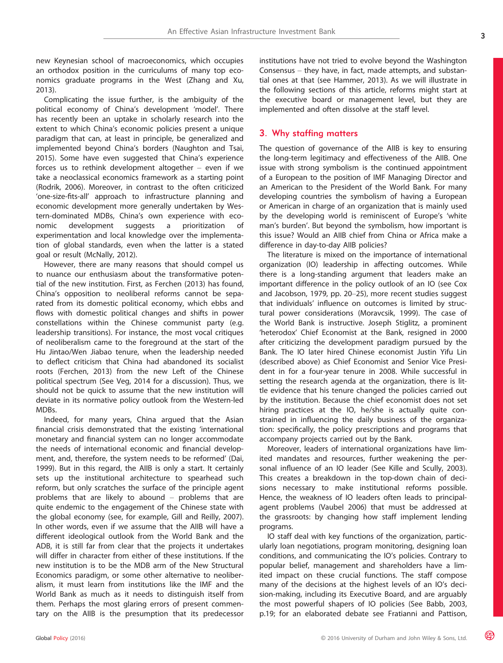new Keynesian school of macroeconomics, which occupies an orthodox position in the curriculums of many top economics graduate programs in the West (Zhang and Xu, 2013).

Complicating the issue further, is the ambiguity of the political economy of China's development 'model'. There has recently been an uptake in scholarly research into the extent to which China's economic policies present a unique paradigm that can, at least in principle, be generalized and implemented beyond China's borders (Naughton and Tsai, 2015). Some have even suggested that China's experience forces us to rethink development altogether – even if we take a neoclassical economics framework as a starting point (Rodrik, 2006). Moreover, in contrast to the often criticized 'one-size-fits-all' approach to infrastructure planning and economic development more generally undertaken by Western-dominated MDBs, China's own experience with economic development suggests a prioritization of experimentation and local knowledge over the implementation of global standards, even when the latter is a stated goal or result (McNally, 2012).

However, there are many reasons that should compel us to nuance our enthusiasm about the transformative potential of the new institution. First, as Ferchen (2013) has found, China's opposition to neoliberal reforms cannot be separated from its domestic political economy, which ebbs and flows with domestic political changes and shifts in power constellations within the Chinese communist party (e.g. leadership transitions). For instance, the most vocal critiques of neoliberalism came to the foreground at the start of the Hu Jintao/Wen Jiabao tenure, when the leadership needed to deflect criticism that China had abandoned its socialist roots (Ferchen, 2013) from the new Left of the Chinese political spectrum (See Veg, 2014 for a discussion). Thus, we should not be quick to assume that the new institution will deviate in its normative policy outlook from the Western-led MDBs.

Indeed, for many years, China argued that the Asian financial crisis demonstrated that the existing 'international monetary and financial system can no longer accommodate the needs of international economic and financial development, and, therefore, the system needs to be reformed' (Dai, 1999). But in this regard, the AIIB is only a start. It certainly sets up the institutional architecture to spearhead such reform, but only scratches the surface of the principle agent problems that are likely to abound – problems that are quite endemic to the engagement of the Chinese state with the global economy (see, for example, Gill and Reilly, 2007). In other words, even if we assume that the AIIB will have a different ideological outlook from the World Bank and the ADB, it is still far from clear that the projects it undertakes will differ in character from either of these institutions. If the new institution is to be the MDB arm of the New Structural Economics paradigm, or some other alternative to neoliberalism, it must learn from institutions like the IMF and the World Bank as much as it needs to distinguish itself from them. Perhaps the most glaring errors of present commentary on the AIIB is the presumption that its predecessor institutions have not tried to evolve beyond the Washington Consensus – they have, in fact, made attempts, and substantial ones at that (see Hammer, 2013). As we will illustrate in the following sections of this article, reforms might start at the executive board or management level, but they are implemented and often dissolve at the staff level.

#### 3. Why staffing matters

The question of governance of the AIIB is key to ensuring the long-term legitimacy and effectiveness of the AIIB. One issue with strong symbolism is the continued appointment of a European to the position of IMF Managing Director and an American to the President of the World Bank. For many developing countries the symbolism of having a European or American in charge of an organization that is mainly used by the developing world is reminiscent of Europe's 'white man's burden'. But beyond the symbolism, how important is this issue? Would an AIIB chief from China or Africa make a difference in day-to-day AIIB policies?

The literature is mixed on the importance of international organization (IO) leadership in affecting outcomes. While there is a long-standing argument that leaders make an important difference in the policy outlook of an IO (see Cox and Jacobson, 1979, pp. 20–25), more recent studies suggest that individuals' influence on outcomes is limited by structural power considerations (Moravcsik, 1999). The case of the World Bank is instructive. Joseph Stiglitz, a prominent 'heterodox' Chief Economist at the Bank, resigned in 2000 after criticizing the development paradigm pursued by the Bank. The IO later hired Chinese economist Justin Yifu Lin (described above) as Chief Economist and Senior Vice President in for a four-year tenure in 2008. While successful in setting the research agenda at the organization, there is little evidence that his tenure changed the policies carried out by the institution. Because the chief economist does not set hiring practices at the IO, he/she is actually quite constrained in influencing the daily business of the organization: specifically, the policy prescriptions and programs that accompany projects carried out by the Bank.

Moreover, leaders of international organizations have limited mandates and resources, further weakening the personal influence of an IO leader (See Kille and Scully, 2003). This creates a breakdown in the top-down chain of decisions necessary to make institutional reforms possible. Hence, the weakness of IO leaders often leads to principalagent problems (Vaubel 2006) that must be addressed at the grassroots: by changing how staff implement lending programs.

IO staff deal with key functions of the organization, particularly loan negotiations, program monitoring, designing loan conditions, and communicating the IO's policies. Contrary to popular belief, management and shareholders have a limited impact on these crucial functions. The staff compose many of the decisions at the highest levels of an IO's decision-making, including its Executive Board, and are arguably the most powerful shapers of IO policies (See Babb, 2003, p.19; for an elaborated debate see Fratianni and Pattison,

@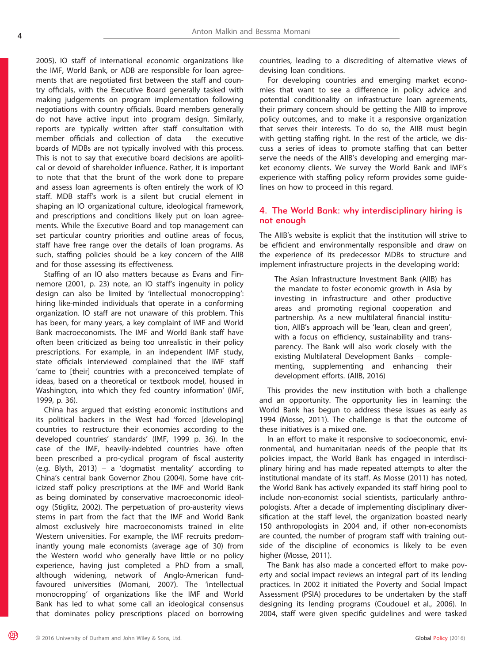2005). IO staff of international economic organizations like the IMF, World Bank, or ADB are responsible for loan agreements that are negotiated first between the staff and country officials, with the Executive Board generally tasked with making judgements on program implementation following negotiations with country officials. Board members generally do not have active input into program design. Similarly, reports are typically written after staff consultation with member officials and collection of data – the executive boards of MDBs are not typically involved with this process. This is not to say that executive board decisions are apolitical or devoid of shareholder influence. Rather, it is important to note that that the brunt of the work done to prepare and assess loan agreements is often entirely the work of IO staff. MDB staff's work is a silent but crucial element in shaping an IO organizational culture, ideological framework, and prescriptions and conditions likely put on loan agreements. While the Executive Board and top management can set particular country priorities and outline areas of focus, staff have free range over the details of loan programs. As such, staffing policies should be a key concern of the AIIB and for those assessing its effectiveness.

Staffing of an IO also matters because as Evans and Finnemore (2001, p. 23) note, an IO staff's ingenuity in policy design can also be limited by 'intellectual monocropping': hiring like-minded individuals that operate in a conforming organization. IO staff are not unaware of this problem. This has been, for many years, a key complaint of IMF and World Bank macroeconomists. The IMF and World Bank staff have often been criticized as being too unrealistic in their policy prescriptions. For example, in an independent IMF study, state officials interviewed complained that the IMF staff 'came to [their] countries with a preconceived template of ideas, based on a theoretical or textbook model, housed in Washington, into which they fed country information' (IMF, 1999, p. 36).

China has argued that existing economic institutions and its political backers in the West had 'forced [developing] countries to restructure their economies according to the developed countries' standards' (IMF, 1999 p. 36). In the case of the IMF, heavily-indebted countries have often been prescribed a pro-cyclical program of fiscal austerity (e.g. Blyth, 2013) – a 'dogmatist mentality' according to China's central bank Governor Zhou (2004). Some have criticized staff policy prescriptions at the IMF and World Bank as being dominated by conservative macroeconomic ideology (Stiglitz, 2002). The perpetuation of pro-austerity views stems in part from the fact that the IMF and World Bank almost exclusively hire macroeconomists trained in elite Western universities. For example, the IMF recruits predominantly young male economists (average age of 30) from the Western world who generally have little or no policy experience, having just completed a PhD from a small, although widening, network of Anglo-American fundfavoured universities (Momani, 2007). The 'intellectual monocropping' of organizations like the IMF and World Bank has led to what some call an ideological consensus that dominates policy prescriptions placed on borrowing

countries, leading to a discrediting of alternative views of devising loan conditions.

For developing countries and emerging market economies that want to see a difference in policy advice and potential conditionality on infrastructure loan agreements, their primary concern should be getting the AIIB to improve policy outcomes, and to make it a responsive organization that serves their interests. To do so, the AIIB must begin with getting staffing right. In the rest of the article, we discuss a series of ideas to promote staffing that can better serve the needs of the AIIB's developing and emerging market economy clients. We survey the World Bank and IMF's experience with staffing policy reform provides some guidelines on how to proceed in this regard.

### 4. The World Bank: why interdisciplinary hiring is not enough

The AIIB's website is explicit that the institution will strive to be efficient and environmentally responsible and draw on the experience of its predecessor MDBs to structure and implement infrastructure projects in the developing world:

The Asian Infrastructure Investment Bank (AIIB) has the mandate to foster economic growth in Asia by investing in infrastructure and other productive areas and promoting regional cooperation and partnership. As a new multilateral financial institution, AIIB's approach will be 'lean, clean and green', with a focus on efficiency, sustainability and transparency. The Bank will also work closely with the existing Multilateral Development Banks – complementing, supplementing and enhancing their development efforts. (AIIB, 2016)

This provides the new institution with both a challenge and an opportunity. The opportunity lies in learning: the World Bank has begun to address these issues as early as 1994 (Mosse, 2011). The challenge is that the outcome of these initiatives is a mixed one.

In an effort to make it responsive to socioeconomic, environmental, and humanitarian needs of the people that its policies impact, the World Bank has engaged in interdisciplinary hiring and has made repeated attempts to alter the institutional mandate of its staff. As Mosse (2011) has noted, the World Bank has actively expanded its staff hiring pool to include non-economist social scientists, particularly anthropologists. After a decade of implementing disciplinary diversification at the staff level, the organization boasted nearly 150 anthropologists in 2004 and, if other non-economists are counted, the number of program staff with training outside of the discipline of economics is likely to be even higher (Mosse, 2011).

The Bank has also made a concerted effort to make poverty and social impact reviews an integral part of its lending practices. In 2002 it initiated the Poverty and Social Impact Assessment (PSIA) procedures to be undertaken by the staff designing its lending programs (Coudouel et al., 2006). In 2004, staff were given specific guidelines and were tasked

(QP)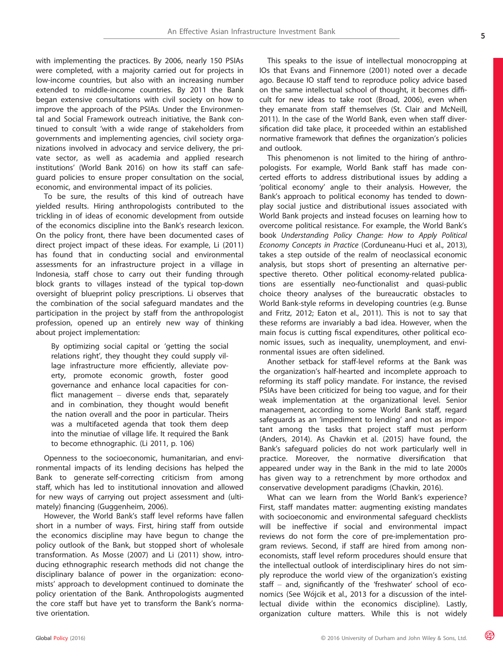with implementing the practices. By 2006, nearly 150 PSIAs were completed, with a majority carried out for projects in low-income countries, but also with an increasing number extended to middle-income countries. By 2011 the Bank began extensive consultations with civil society on how to improve the approach of the PSIAs. Under the Environmental and Social Framework outreach initiative, the Bank continued to consult 'with a wide range of stakeholders from governments and implementing agencies, civil society organizations involved in advocacy and service delivery, the private sector, as well as academia and applied research institutions' (World Bank 2016) on how its staff can safeguard policies to ensure proper consultation on the social, economic, and environmental impact of its policies.

To be sure, the results of this kind of outreach have yielded results. Hiring anthropologists contributed to the trickling in of ideas of economic development from outside of the economics discipline into the Bank's research lexicon. On the policy front, there have been documented cases of direct project impact of these ideas. For example, Li (2011) has found that in conducting social and environmental assessments for an infrastructure project in a village in Indonesia, staff chose to carry out their funding through block grants to villages instead of the typical top-down oversight of blueprint policy prescriptions. Li observes that the combination of the social safeguard mandates and the participation in the project by staff from the anthropologist profession, opened up an entirely new way of thinking about project implementation:

By optimizing social capital or 'getting the social relations right', they thought they could supply village infrastructure more efficiently, alleviate poverty, promote economic growth, foster good governance and enhance local capacities for conflict management  $-$  diverse ends that, separately and in combination, they thought would benefit the nation overall and the poor in particular. Theirs was a multifaceted agenda that took them deep into the minutiae of village life. It required the Bank to become ethnographic. (Li 2011, p. 106)

Openness to the socioeconomic, humanitarian, and environmental impacts of its lending decisions has helped the Bank to generate self-correcting criticism from among staff, which has led to institutional innovation and allowed for new ways of carrying out project assessment and (ultimately) financing (Guggenheim, 2006).

However, the World Bank's staff level reforms have fallen short in a number of ways. First, hiring staff from outside the economics discipline may have begun to change the policy outlook of the Bank, but stopped short of wholesale transformation. As Mosse (2007) and Li (2011) show, introducing ethnographic research methods did not change the disciplinary balance of power in the organization: economists' approach to development continued to dominate the policy orientation of the Bank. Anthropologists augmented the core staff but have yet to transform the Bank's normative orientation.

This speaks to the issue of intellectual monocropping at IOs that Evans and Finnemore (2001) noted over a decade ago. Because IO staff tend to reproduce policy advice based on the same intellectual school of thought, it becomes difficult for new ideas to take root (Broad, 2006), even when they emanate from staff themselves (St. Clair and McNeill, 2011). In the case of the World Bank, even when staff diversification did take place, it proceeded within an established normative framework that defines the organization's policies and outlook.

This phenomenon is not limited to the hiring of anthropologists. For example, World Bank staff has made concerted efforts to address distributional issues by adding a 'political economy' angle to their analysis. However, the Bank's approach to political economy has tended to downplay social justice and distributional issues associated with World Bank projects and instead focuses on learning how to overcome political resistance. For example, the World Bank's book Understanding Policy Change: How to Apply Political Economy Concepts in Practice (Corduneanu-Huci et al., 2013), takes a step outside of the realm of neoclassical economic analysis, but stops short of presenting an alternative perspective thereto. Other political economy-related publications are essentially neo-functionalist and quasi-public choice theory analyses of the bureaucratic obstacles to World Bank-style reforms in developing countries (e.g. Bunse and Fritz, 2012; Eaton et al., 2011). This is not to say that these reforms are invariably a bad idea. However, when the main focus is cutting fiscal expenditures, other political economic issues, such as inequality, unemployment, and environmental issues are often sidelined.

Another setback for staff-level reforms at the Bank was the organization's half-hearted and incomplete approach to reforming its staff policy mandate. For instance, the revised PSIAs have been criticized for being too vague, and for their weak implementation at the organizational level. Senior management, according to some World Bank staff, regard safeguards as an 'impediment to lending' and not as important among the tasks that project staff must perform (Anders, 2014). As Chavkin et al. (2015) have found, the Bank's safeguard policies do not work particularly well in practice. Moreover, the normative diversification that appeared under way in the Bank in the mid to late 2000s has given way to a retrenchment by more orthodox and conservative development paradigms (Chavkin, 2016).

What can we learn from the World Bank's experience? First, staff mandates matter: augmenting existing mandates with socioeconomic and environmental safeguard checklists will be ineffective if social and environmental impact reviews do not form the core of pre-implementation program reviews. Second, if staff are hired from among noneconomists, staff level reform procedures should ensure that the intellectual outlook of interdisciplinary hires do not simply reproduce the world view of the organization's existing staff – and, significantly of the 'freshwater' school of economics (See Wojcik et al., 2013 for a discussion of the intel lectual divide within the economics discipline). Lastly, organization culture matters. While this is not widely

 $\circledR$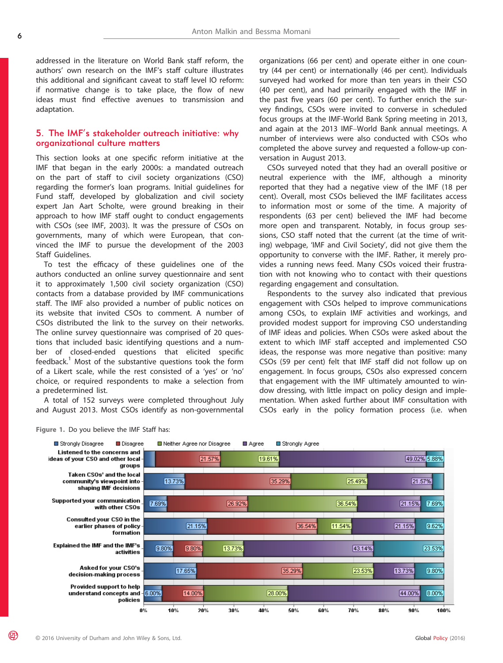addressed in the literature on World Bank staff reform, the authors' own research on the IMF's staff culture illustrates this additional and significant caveat to staff level IO reform: if normative change is to take place, the flow of new ideas must find effective avenues to transmission and adaptation.

#### 5. The IMF's stakeholder outreach initiative: why organizational culture matters

This section looks at one specific reform initiative at the IMF that began in the early 2000s: a mandated outreach on the part of staff to civil society organizations (CSO) regarding the former's loan programs. Initial guidelines for Fund staff, developed by globalization and civil society expert Jan Aart Scholte, were ground breaking in their approach to how IMF staff ought to conduct engagements with CSOs (see IMF, 2003). It was the pressure of CSOs on governments, many of which were European, that convinced the IMF to pursue the development of the 2003 Staff Guidelines.

To test the efficacy of these guidelines one of the authors conducted an online survey questionnaire and sent it to approximately 1,500 civil society organization (CSO) contacts from a database provided by IMF communications staff. The IMF also provided a number of public notices on its website that invited CSOs to comment. A number of CSOs distributed the link to the survey on their networks. The online survey questionnaire was comprised of 20 questions that included basic identifying questions and a number of closed-ended questions that elicited specific feedback.<sup>1</sup> Most of the substantive questions took the form of a Likert scale, while the rest consisted of a 'yes' or 'no' choice, or required respondents to make a selection from a predetermined list.

A total of 152 surveys were completed throughout July and August 2013. Most CSOs identify as non-governmental organizations (66 per cent) and operate either in one country (44 per cent) or internationally (46 per cent). Individuals surveyed had worked for more than ten years in their CSO (40 per cent), and had primarily engaged with the IMF in the past five years (60 per cent). To further enrich the survey findings, CSOs were invited to converse in scheduled focus groups at the IMF-World Bank Spring meeting in 2013, and again at the 2013 IMF–World Bank annual meetings. A number of interviews were also conducted with CSOs who completed the above survey and requested a follow-up conversation in August 2013.

CSOs surveyed noted that they had an overall positive or neutral experience with the IMF, although a minority reported that they had a negative view of the IMF (18 per cent). Overall, most CSOs believed the IMF facilitates access to information most or some of the time. A majority of respondents (63 per cent) believed the IMF had become more open and transparent. Notably, in focus group sessions, CSO staff noted that the current (at the time of writing) webpage, 'IMF and Civil Society', did not give them the opportunity to converse with the IMF. Rather, it merely provides a running news feed. Many CSOs voiced their frustration with not knowing who to contact with their questions regarding engagement and consultation.

Respondents to the survey also indicated that previous engagement with CSOs helped to improve communications among CSOs, to explain IMF activities and workings, and provided modest support for improving CSO understanding of IMF ideas and policies. When CSOs were asked about the extent to which IMF staff accepted and implemented CSO ideas, the response was more negative than positive: many CSOs (59 per cent) felt that IMF staff did not follow up on engagement. In focus groups, CSOs also expressed concern that engagement with the IMF ultimately amounted to window dressing, with little impact on policy design and implementation. When asked further about IMF consultation with CSOs early in the policy formation process (i.e. when



Figure 1. Do you believe the IMF Staff has:

 $\circledcirc$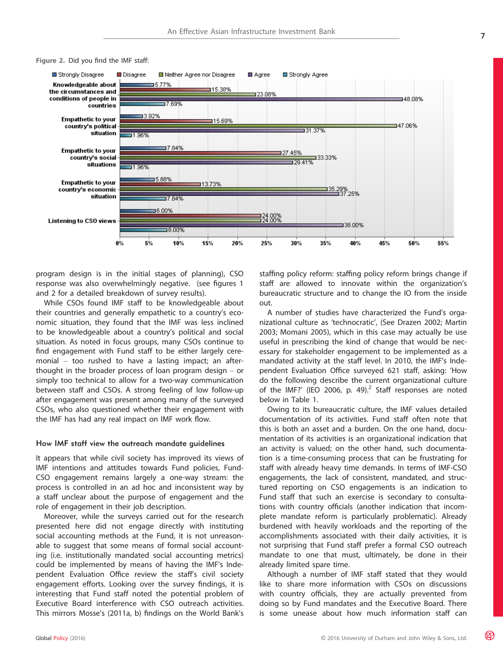

Figure 2. Did you find the IMF staff:

program design is in the initial stages of planning), CSO response was also overwhelmingly negative. (see figures 1 and 2 for a detailed breakdown of survey results).

While CSOs found IMF staff to be knowledgeable about their countries and generally empathetic to a country's economic situation, they found that the IMF was less inclined to be knowledgeable about a country's political and social situation. As noted in focus groups, many CSOs continue to find engagement with Fund staff to be either largely ceremonial – too rushed to have a lasting impact; an afterthought in the broader process of loan program design – or simply too technical to allow for a two-way communication between staff and CSOs. A strong feeling of low follow-up after engagement was present among many of the surveyed CSOs, who also questioned whether their engagement with the IMF has had any real impact on IMF work flow.

#### How IMF staff view the outreach mandate guidelines

It appears that while civil society has improved its views of IMF intentions and attitudes towards Fund policies, Fund-CSO engagement remains largely a one-way stream: the process is controlled in an ad hoc and inconsistent way by a staff unclear about the purpose of engagement and the role of engagement in their job description.

Moreover, while the surveys carried out for the research presented here did not engage directly with instituting social accounting methods at the Fund, it is not unreasonable to suggest that some means of formal social accounting (i.e. institutionally mandated social accounting metrics) could be implemented by means of having the IMF's Independent Evaluation Office review the staff's civil society engagement efforts. Looking over the survey findings, it is interesting that Fund staff noted the potential problem of Executive Board interference with CSO outreach activities. This mirrors Mosse's (2011a, b) findings on the World Bank's staffing policy reform: staffing policy reform brings change if staff are allowed to innovate within the organization's bureaucratic structure and to change the IO from the inside out.

A number of studies have characterized the Fund's organizational culture as 'technocratic', (See Drazen 2002; Martin 2003; Momani 2005), which in this case may actually be use useful in prescribing the kind of change that would be necessary for stakeholder engagement to be implemented as a mandated activity at the staff level. In 2010, the IMF's Independent Evaluation Office surveyed 621 staff, asking: 'How do the following describe the current organizational culture of the IMF?' (IEO 2006, p. 49). $2$  Staff responses are noted below in Table 1.

Owing to its bureaucratic culture, the IMF values detailed documentation of its activities. Fund staff often note that this is both an asset and a burden. On the one hand, documentation of its activities is an organizational indication that an activity is valued; on the other hand, such documentation is a time-consuming process that can be frustrating for staff with already heavy time demands. In terms of IMF-CSO engagements, the lack of consistent, mandated, and structured reporting on CSO engagements is an indication to Fund staff that such an exercise is secondary to consultations with country officials (another indication that incomplete mandate reform is particularly problematic). Already burdened with heavily workloads and the reporting of the accomplishments associated with their daily activities, it is not surprising that Fund staff prefer a formal CSO outreach mandate to one that must, ultimately, be done in their already limited spare time.

Although a number of IMF staff stated that they would like to share more information with CSOs on discussions with country officials, they are actually prevented from doing so by Fund mandates and the Executive Board. There is some unease about how much information staff can

@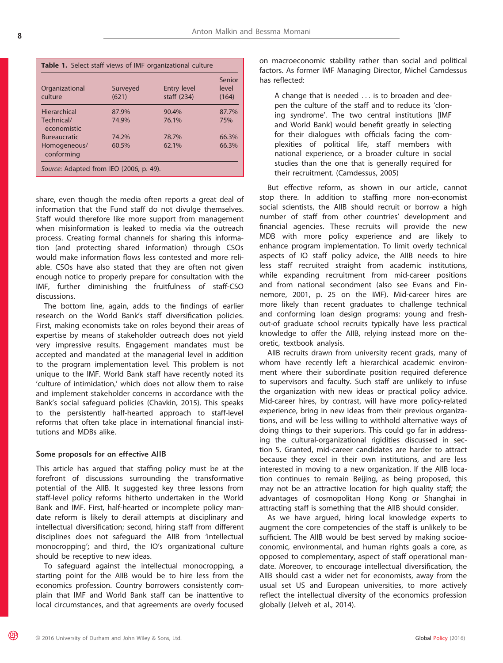| Table 1. Select staff views of IMF organizational culture |                   |                            |                          |
|-----------------------------------------------------------|-------------------|----------------------------|--------------------------|
| Organizational<br>culture                                 | Surveyed<br>(621) | Entry level<br>staff (234) | Senior<br>level<br>(164) |
| Hierarchical                                              | 87.9%             | 90.4%                      | 87.7%                    |
| Technical/<br>economistic                                 | 74.9%             | 76.1%                      | 75%                      |
| <b>Bureaucratic</b>                                       | 74.2%             | 78.7%                      | 66.3%                    |
| Homogeneous/<br>conforming                                | 60.5%             | 62.1%                      | 66.3%                    |
| Source: Adapted from IEO (2006, p. 49).                   |                   |                            |                          |

share, even though the media often reports a great deal of information that the Fund staff do not divulge themselves. Staff would therefore like more support from management when misinformation is leaked to media via the outreach process. Creating formal channels for sharing this information (and protecting shared information) through CSOs would make information flows less contested and more reliable. CSOs have also stated that they are often not given enough notice to properly prepare for consultation with the IMF, further diminishing the fruitfulness of staff-CSO discussions.

The bottom line, again, adds to the findings of earlier research on the World Bank's staff diversification policies. First, making economists take on roles beyond their areas of expertise by means of stakeholder outreach does not yield very impressive results. Engagement mandates must be accepted and mandated at the managerial level in addition to the program implementation level. This problem is not unique to the IMF. World Bank staff have recently noted its 'culture of intimidation,' which does not allow them to raise and implement stakeholder concerns in accordance with the Bank's social safeguard policies (Chavkin, 2015). This speaks to the persistently half-hearted approach to staff-level reforms that often take place in international financial institutions and MDBs alike.

#### Some proposals for an effective AIIB

This article has argued that staffing policy must be at the forefront of discussions surrounding the transformative potential of the AIIB. It suggested key three lessons from staff-level policy reforms hitherto undertaken in the World Bank and IMF. First, half-hearted or incomplete policy mandate reform is likely to derail attempts at disciplinary and intellectual diversification; second, hiring staff from different disciplines does not safeguard the AIIB from 'intellectual monocropping'; and third, the IO's organizational culture should be receptive to new ideas.

To safeguard against the intellectual monocropping, a starting point for the AIIB would be to hire less from the economics profession. Country borrowers consistently complain that IMF and World Bank staff can be inattentive to local circumstances, and that agreements are overly focused

on macroeconomic stability rather than social and political factors. As former IMF Managing Director, Michel Camdessus has reflected:

A change that is needed ... is to broaden and deepen the culture of the staff and to reduce its 'cloning syndrome'. The two central institutions [IMF and World Bank] would benefit greatly in selecting for their dialogues with officials facing the complexities of political life, staff members with national experience, or a broader culture in social studies than the one that is generally required for their recruitment. (Camdessus, 2005)

But effective reform, as shown in our article, cannot stop there. In addition to staffing more non-economist social scientists, the AIIB should recruit or borrow a high number of staff from other countries' development and financial agencies. These recruits will provide the new MDB with more policy experience and are likely to enhance program implementation. To limit overly technical aspects of IO staff policy advice, the AIIB needs to hire less staff recruited straight from academic institutions, while expanding recruitment from mid-career positions and from national secondment (also see Evans and Finnemore, 2001, p. 25 on the IMF). Mid-career hires are more likely than recent graduates to challenge technical and conforming loan design programs: young and freshout-of graduate school recruits typically have less practical knowledge to offer the AIIB, relying instead more on theoretic, textbook analysis.

AIIB recruits drawn from university recent grads, many of whom have recently left a hierarchical academic environment where their subordinate position required deference to supervisors and faculty. Such staff are unlikely to infuse the organization with new ideas or practical policy advice. Mid-career hires, by contrast, will have more policy-related experience, bring in new ideas from their previous organizations, and will be less willing to withhold alternative ways of doing things to their superiors. This could go far in addressing the cultural-organizational rigidities discussed in section 5. Granted, mid-career candidates are harder to attract because they excel in their own institutions, and are less interested in moving to a new organization. If the AIIB location continues to remain Beijing, as being proposed, this may not be an attractive location for high quality staff; the advantages of cosmopolitan Hong Kong or Shanghai in attracting staff is something that the AIIB should consider.

As we have argued, hiring local knowledge experts to augment the core competencies of the staff is unlikely to be sufficient. The AIIB would be best served by making socioeconomic, environmental, and human rights goals a core, as opposed to complementary, aspect of staff operational mandate. Moreover, to encourage intellectual diversification, the AIIB should cast a wider net for economists, away from the usual set US and European universities, to more actively reflect the intellectual diversity of the economics profession globally (Jelveh et al., 2014).

(QP)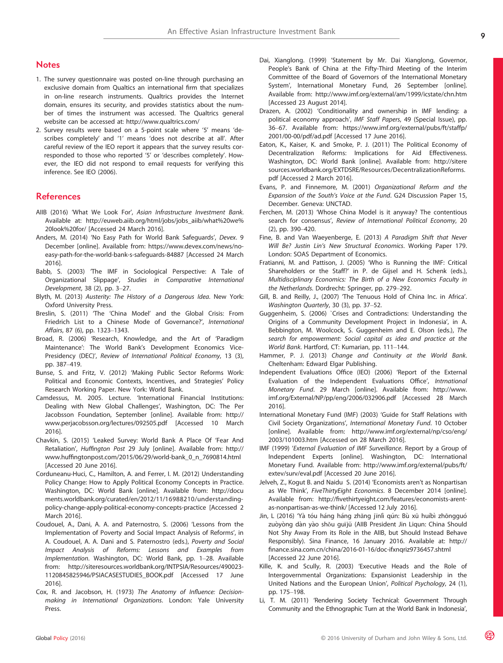### **Notes**

- 1. The survey questionnaire was posted on-line through purchasing an exclusive domain from Qualtics an international firm that specializes in on-line research instruments. Qualtrics provides the Internet domain, ensures its security, and provides statistics about the number of times the instrument was accessed. The Qualtrics general website can be accessed at:<http://www.qualtrics.com/>
- 2. Survey results were based on a 5-point scale where '5' means 'describes completely' and '1' means 'does not describe at all'. After careful review of the IEO report it appears that the survey results corresponded to those who reported '5' or 'describes completely'. However, the IEO did not respond to email requests for verifying this inference. See IEO (2006).

#### References

- AIIB (2016) 'What We Look For', Asian Infrastructure Investment Bank. Available at: [http://euweb.aiib.org/html/jobs/jobs\\_aiib/what%20we%](http://euweb.aiib.org/html/jobs/jobs_aiib/what%20we%20look%20for/) [20look%20for/](http://euweb.aiib.org/html/jobs/jobs_aiib/what%20we%20look%20for/) [Accessed 24 March 2016].
- Anders, M. (2014) 'No Easy Path for World Bank Safeguards', Devex. 9 December [online]. Available from: [https://www.devex.com/news/no](https://www.devex.com/news/no-easy-path-for-the-world-bank-s-safeguards-84887)[easy-path-for-the-world-bank-s-safeguards-84887](https://www.devex.com/news/no-easy-path-for-the-world-bank-s-safeguards-84887) [Accessed 24 March 2016].
- Babb, S. (2003) 'The IMF in Sociological Perspective: A Tale of Organizational Slippage', Studies in Comparative International Development, 38 (2), pp. 3–27.
- Blyth, M. (2013) Austerity: The History of a Dangerous Idea. New York: Oxford University Press.
- Breslin, S. (2011) 'The 'China Model' and the Global Crisis: From Friedrich List to a Chinese Mode of Governance?', International Affairs, 87 (6), pp. 1323–1343.
- Broad, R. (2006) 'Research, Knowledge, and the Art of 'Paradigm Maintenance': The World Bank's Development Economics Vice-Presidency (DEC)', Review of International Political Economy, 13 (3), pp. 387–419.
- Bunse, S. and Fritz, V. (2012) 'Making Public Sector Reforms Work: Political and Economic Contexts, Incentives, and Strategies' Policy Research Working Paper. New York: World Bank.
- Camdessus, M. 2005. Lecture. 'International Financial Institutions: Dealing with New Global Challenges', Washington, DC: The Per Jacobsson Foundation, September [online]. Available from: [http://](http://www.perjacobsson.org/lectures/092505.pdf) [www.perjacobsson.org/lectures/092505.pdf](http://www.perjacobsson.org/lectures/092505.pdf) [Accessed 10 March 2016].
- Chavkin, S. (2015) 'Leaked Survey: World Bank A Place Of 'Fear And Retaliation', Huffington Post 29 July [online]. Available from: [http://](http://www.huffingtonpost.com/2015/06/29/world-bank_0_n_7690814.html) www.huffi[ngtonpost.com/2015/06/29/world-bank\\_0\\_n\\_7690814.html](http://www.huffingtonpost.com/2015/06/29/world-bank_0_n_7690814.html) [Accessed 20 June 2016].
- Corduneanu-Huci, C., Hamilton, A. and Ferrer, I. M. (2012) Understanding Policy Change: How to Apply Political Economy Concepts in Practice. Washington, DC: World Bank [online]. Available from: [http://docu](http://documents.worldbank.org/curated/en/2012/11/16988210/understanding-policy-change-apply-political-economy-concepts-practice) [ments.worldbank.org/curated/en/2012/11/16988210/understanding](http://documents.worldbank.org/curated/en/2012/11/16988210/understanding-policy-change-apply-political-economy-concepts-practice)[policy-change-apply-political-economy-concepts-practice](http://documents.worldbank.org/curated/en/2012/11/16988210/understanding-policy-change-apply-political-economy-concepts-practice) [Accessed 2 March 2016].
- Coudouel, A., Dani, A. A. and Paternostro, S. (2006) 'Lessons from the Implementation of Poverty and Social Impact Analysis of Reforms', in A. Coudouel, A. A. Dani and S. Paternostro (eds.), Poverty and Social Impact Analysis of Reforms: Lessons and Examples from Implementation. Washington, DC: World Bank, pp. 1–28. Available from: [http://siteresources.worldbank.org/INTPSIA/Resources/490023-](http://siteresources.worldbank.org/INTPSIA/Resources/490023-1120845825946/PSIACASESTUDIES_BOOK.pdf) [1120845825946/PSIACASESTUDIES\\_BOOK.pdf](http://siteresources.worldbank.org/INTPSIA/Resources/490023-1120845825946/PSIACASESTUDIES_BOOK.pdf) [Accessed 17 June 2016].
- Cox, R. and Jacobson, H. (1973) The Anatomy of Influence: Decisionmaking in International Organizations. London: Yale University Press.
- Dai, Xianglong. (1999) 'Statement by Mr. Dai Xianglong, Governor, People's Bank of China at the Fifty-Third Meeting of the Interim Committee of the Board of Governors of the International Monetary System', International Monetary Fund, 26 September [online]. Available from:<http://www.imf.org/external/am/1999/icstate/chn.htm> [Accessed 23 August 2014].
- Drazen, A. (2002) 'Conditionality and ownership in IMF lending: a political economy approach', IMF Staff Papers, 49 (Special Issue), pp. 36–67. Available from: [https://www.imf.org/external/pubs/ft/staffp/](https://www.imf.org/external/pubs/ft/staffp/2001/00-00/pdf/ad.pdf) [2001/00-00/pdf/ad.pdf](https://www.imf.org/external/pubs/ft/staffp/2001/00-00/pdf/ad.pdf) [Accessed 17 June 2016].
- Eaton, K., Kaiser, K. and Smoke, P. J. (2011) The Political Economy of Decentralization Reforms: Implications for Aid Effectiveness. Washington, DC: World Bank [online]. Available from: [http://sitere](http://siteresources.worldbank.org/EXTDSRE/Resources/DecentralizationReforms.pdf) [sources.worldbank.org/EXTDSRE/Resources/DecentralizationReforms.](http://siteresources.worldbank.org/EXTDSRE/Resources/DecentralizationReforms.pdf) [pdf](http://siteresources.worldbank.org/EXTDSRE/Resources/DecentralizationReforms.pdf) [Accessed 2 March 2016].
- Evans, P. and Finnemore, M. (2001) Organizational Reform and the Expansion of the South's Voice at the Fund. G24 Discussion Paper 15, December. Geneva: UNCTAD.
- Ferchen, M. (2013) 'Whose China Model is it anyway? The contentious search for consensus', Review of International Political Economy, 20 (2), pp. 390–420.
- Fine, B. and Van Waeyenberge, E. (2013) A Paradigm Shift that Never Will Be? Justin Lin's New Structural Economics. Working Paper 179. London: SOAS Department of Economics.
- Fratianni, M. and Pattison, J. (2005) 'Who is Running the IMF: Critical Shareholders or the Staff?' in P. de Gijsel and H. Schenk (eds.), Multidisciplinary Economics: The Birth of a New Economics Faculty in the Netherlands. Dordrecht: Springer, pp. 279–292.
- Gill, B. and Reilly, J., (2007) 'The Tenuous Hold of China Inc. in Africa'. Washington Quarterly, 30 (3), pp. 37–52.
- Guggenheim, S. (2006) `Crises and Contradictions: Understanding the Origins of a Community Development Project in Indonesia', in A. Bebbington, M. Woolcock, S. Guggenheim and E. Olson (eds.), The search for empowerment: Social capital as idea and practice at the World Bank. Hartford, CT: Kumarian, pp. 111–144.
- Hammer, P. J. (2013) Change and Continuity at the World Bank. Cheltenham: Edward Elgar Publishing.
- Independent Evaluations Office (IEO) (2006) 'Report of the External Evaluation of the Independent Evaluations Office', Intrnational Monetary Fund. 29 March [online]. Available from: [http://www.](http://www.imf.org/External/NP/pp/eng/2006/032906.pdf) [imf.org/External/NP/pp/eng/2006/032906.pdf](http://www.imf.org/External/NP/pp/eng/2006/032906.pdf) [Accessed 28 March 2016].
- International Monetary Fund (IMF) (2003) 'Guide for Staff Relations with Civil Society Organizations', International Monetary Fund. 10 October [online]. Available from: [http://www.imf.org/external/np/cso/eng/](http://www.imf.org/external/np/cso/eng/2003/101003.htm) [2003/101003.htm](http://www.imf.org/external/np/cso/eng/2003/101003.htm) [Accessed on 28 March 2016].
- IMF (1999) 'External Evaluation of IMF Surveillance. Report by a Group of Independent Experts [online]. Washington, DC: International Monetary Fund. Available from: [http://www.imf.org/external/pubs/ft/](http://www.imf.org/external/pubs/ft/extev/surv/eval.pdf) [extev/surv/eval.pdf](http://www.imf.org/external/pubs/ft/extev/surv/eval.pdf) [Accessed 20 June 2016].
- Jelveh, Z., Kogut B. and Naidu S. (2014) 'Economists aren't as Nonpartisan as We Think', FiveThirtyEight Economics. 8 December 2014 [online]. Available from: http://fi[vethirtyeight.com/features/economists-arent](http://fivethirtyeight.com/features/economists-arent-as-nonpartisan-as-we-think/)[as-nonpartisan-as-we-think/](http://fivethirtyeight.com/features/economists-arent-as-nonpartisan-as-we-think/) [Accessed 12 July 2016].
- Jin, L (2016) 'Yà tóu háng háng zhǎng jīnlì qún: Bù xū huíbì zhōngguó zuòyòng dàn yào shǒu guījǔ (AllB President Jin Liqun: China Should Not Shy Away From its Role in the AIIB, but Should Instead Behave Responsibly). Sina Finance, 16 January 2016. Available at: [http://](http://finance.sina.com.cn/china/2016-01-16/doc-ifxnqriz9736457.shtml) fi[nance.sina.com.cn/china/2016-01-16/doc-ifxnqriz9736457.shtml](http://finance.sina.com.cn/china/2016-01-16/doc-ifxnqriz9736457.shtml) [Accessed 22 June 2016].
- Kille, K. and Scully, R. (2003) 'Executive Heads and the Role of Intergovernmental Organizations: Expansionist Leadership in the United Nations and the European Union', Political Psychology, 24 (1), pp. 175–198.
- Li, T. M. (2011) 'Rendering Society Technical: Government Through Community and the Ethnographic Turn at the World Bank in Indonesia',

௵